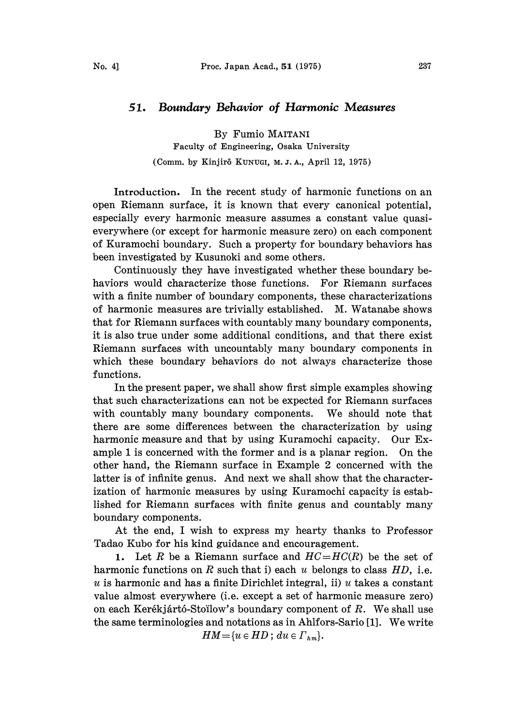## 51. Boundary Behavior of Harmonic Measures

By Fumio MAITANI Faculty of Engineering, Osaka University (Comm. by Kinjirô KUNUGI, M. J. A., April 12, 1975)

Introduction. In the recent study of harmonic functions on an open Riemann surface, it is known that every canonical potential, especially every harmonic measure assumes a constant value quasieverywhere (or except for harmonic measure zero) on each component of Kuramochi boundary. Such a property for boundary behaviors has been investigated by Kusunoki and some others.

Continuously they have investigated whether these boundary behaviors would characterize those functions. For Riemann surfaces with a finite number of boundary components, these characterizations of harmonic measures are trivially established. M. Watanabe shows that for Riemann surfaces with countably many boundary components, it is also true under some additional conditions, and that there exist Riemann surfaces with uncountably many boundary components in which these boundary behaviors do not always characterize those functions.

In the present paper, we shall show first simple examples showing that such characterizations can not be expected for Riemann surfaces with countably many boundary components. We should note that there are some differences between the characterization by using harmonic measure and that by using Kuramochi capacity. Our Example <sup>1</sup> is concerned with the former and is a planar region. On the other hand, the Riemann surface in Example 2 concerned with the latter is of infinite genus. And next we shall show that the characterization of harmonic measures by using Kuramochi capacity is established for Riemann surfaces with finite genus and countably many boundary components.

At the end, <sup>I</sup> wish to express my hearty thanks to Professor Tadao Kubo for his kind guidance and encouragement.

1. Let R be a Riemann surface and  $HC=HC(R)$  be the set of harmonic functions on R such that i) each  $u$  belongs to class  $HD$ , i.e. u is harmonic and has a finite Dirichlet integral, ii) u takes a constant value almost everywhere (i.e. except a set of harmonic measure zero) on each Kerékjártó-Stoïlow's boundary component of  $R$ . We shall use the same terminologies and notations as in Ahlfors-Sario [1]. We write

 $HM = \{u \in HD\,;\,du \in \Gamma_{hm}\}.$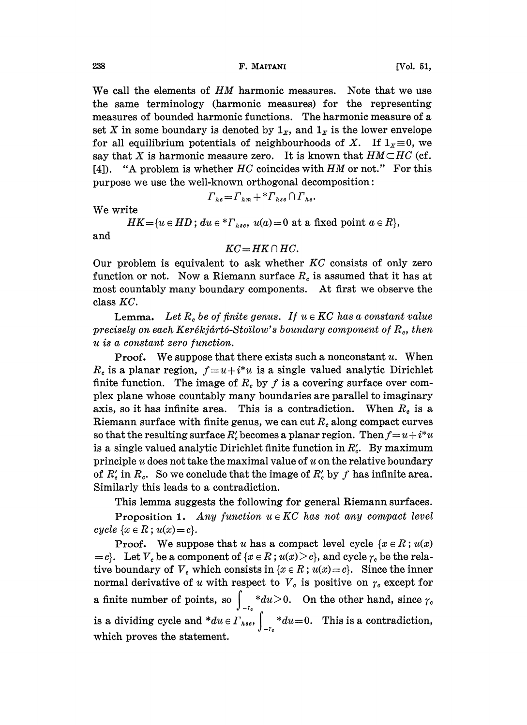## 238 F. MAITANI [Vol. 51,

We call the elements of HM harmonic measures. Note that we use the same terminology (harmonic measures) for the representing measures of bounded harmonic functions. The harmonic measure of a set X in some boundary is denoted by  $1_x$ , and  $1_x$  is the lower envelope for all equilibrium potentials of neighbourhoods of X. If  $1_x \equiv 0$ , we say that X is harmonic measure zero. It is known that  $HM \subset HC$  (cf. [4]). "A problem is whether  $HC$  coincides with  $HM$  or not." For this purpose we use the well-known orthogonal decomposition:

$$
\Gamma_{he} = \Gamma_{hm} + \, {}^* \Gamma_{hse} \cap \Gamma_{he}.
$$

We write

 $HK = \{u \in HD\}$ ;  $du \in {^*}\Gamma_{hse}, u(a) = 0$  at a fixed point  $a \in R\},$ and

## $KC = HK \cap HC$ .

Our problem is equivalent to ask whether  $KC$  consists of only zero function or not. Now a Riemann surface  $R_c$  is assumed that it has at most countably many boundary components. At first we observe the class KC.

**Lemma.** Let  $R_c$  be of finite genus. If  $u \in KC$  has a constant value precisely on each Kerékjártó-Stoïlow's boundary component of  $R_c$ , then u is a constant zero function.

**Proof.** We suppose that there exists such a nonconstant  $u$ . When  $R_c$  is a planar region,  $f=u+i*u$  is a single valued analytic Dirichlet finite function. The image of  $R_c$  by f is a covering surface over complex plane whose countably many boundaries are parallel to imaginary axis, so it has infinite area. This is a contradiction. When  $R_c$  is a Riemann surface with finite genus, we can cut  $R_c$  along compact curves so that the resulting surface  $R'_c$  becomes a planar region. Then  $f=u+i^*u$ is a single valued analytic Dirichlet finite function in  $R'_c$ . By maximum principle  $u$  does not take the maximal value of  $u$  on the relative boundary of  $R'_c$  in  $R_c$ . So we conclude that the image of  $R'_c$  by f has infinite area. Similarly this leads to a contradiction.

This lemma suggests the following for general Riemann surfaces.

**Proposition 1.** Any function  $u \in KC$  has not any compact level cycle  $\{x \in R; u(x)=c\}.$ 

**Proof.** We suppose that u has a compact level cycle  $\{x \in \mathbb{R} : u(x)\}$  $=c$ . Let  $V_c$  be a component of  $\{x \in R : u(x) \ge c\}$ , and cycle  $\gamma_c$  be the relative boundary of  $V_c$  which consists in  $\{x \in R : u(x) = c\}$ . Since the inner normal derivative of u with respect to  $V_c$  is positive on  $\gamma_c$  except for a finite number of points, so  $\int_{-r_e}^{\infty} \frac{du}{du} > 0$ . On the other hand, since is a dividing cycle and  $*du \in \Gamma_{hse}$ ,  $\int_{-\tau_e}^{\cdot} *du = 0$ . This is a contradiction, which proves the statement.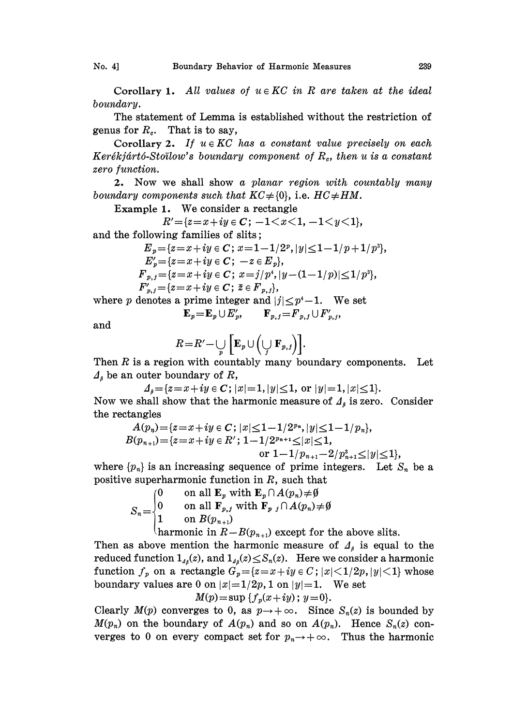Corollary 1. All values of  $u \in KC$  in R are taken at the ideal boundary.

The statement of Lemma is established without the restriction of genus for  $R<sub>c</sub>$ . That is to say,

Corollary 2. If  $u \in KC$  has a constant value precisely on each Kerékjártó-Stoïlow's boundary component of  $R_c$ , then u is a constant zero function.

2. Now we shall show a planar region with countably many boundary components such that  $KC \neq \{0\}$ , i.e.  $HC \neq HM$ .

Example 1. We consider a rectangle

$$
R' = \{z = x + iy \in C; \ -1 < x < 1, \ -1 < y < 1\},\
$$

and the following families of slits;

$$
E_p = \{z = x + iy \in C; \ x = 1 - 1/2^p, |y| \le 1 - 1/p + 1/p^3\},
$$
  
\n
$$
E'_p = \{z = x + iy \in C; \ -z \in E_p\},
$$
  
\n
$$
F_{p,j} = \{z = x + iy \in C; \ x = j/p^4, |y - (1 - 1/p)| \le 1/p^3\},
$$
  
\n
$$
F'_{p,j} = \{z = x + iy \in C; \ \bar{z} \in F_{p,j}\},
$$

where p denotes a prime integer and  $|j| \leq p^4-1$ . We set

$$
\mathbf{E}_p = \mathbf{E}_p \cup E'_p, \qquad \mathbf{F}_{p,j} = F_{p,j} \cup F'_{p,j},
$$

and

$$
R = R' - \bigcup_p \left[ \mathbf{E}_p \cup \left( \bigcup_j \mathbf{F}_{p,j} \right) \right].
$$

Then  $R$  is a region with countably many boundary components. Let  $\Lambda$ <sub>s</sub> be an outer boundary of R,

 $\Delta_{\beta} = \{z=x+iy \in C; |x|=1, |y|\leq 1, \text{ or } |y|=1, |x|\leq 1\}.$ Now we shall show that the harmonic measure of  $\Lambda_{\beta}$  is zero. Consider the rectangles

$$
A(p_n) = \{z = x+iy \in C\, ; \, |x| \le 1-1/2^{p_n}, |y| \le 1-1/p_n\},
$$
  

$$
B(p_{n+1}) = \{z = x+iy \in R'\, ; \, 1-1/2^{p_{n+1}} \le |x| \le 1,
$$

or  $1-1/p_{n+1}-2/p_{n+1}^3{\leq}|y|{\leq}1$ ,

where  ${p_n}$  is an increasing sequence of prime integers. Let  $S_n$  be a positive superharmonic function in R, such that

$$
S_n = \begin{cases} 0 & \text{on all } \mathbf{E}_p \text{ with } \mathbf{E}_p \cap A(p_n) \neq \emptyset \\ 0 & \text{on all } \mathbf{F}_{p,j} \text{ with } \mathbf{F}_p \text{ and } A(p_n) \neq \emptyset \\ 1 & \text{on } B(p_{n+1}) \end{cases}
$$
harmonic in  $P - B(p_n)$  is exact for f.

(harmonic in  $R-B(p_{n+1})$  except for the above slits.

Then as above mention the harmonic measure of  $A<sub>s</sub>$  is equal to the reduced function  $1_{\mu_\beta}(z)$ , and  $1_{\mu_\beta}(z) \leq S_n(z)$ . Here we consider a harmonic function  $f_p$  on a rectangle  $G_p=[z=x+iy\in C$ ;  $|x|<1/2p$ ,  $|y|<1$ } whose boundary values are 0 on  $|x|=1/2p$ , 1 on  $|y|=1$ . We set  $M(p) = \sup \{f_p(x+iy) \, ; \, y=0\}.$ 

Clearly  $M(p)$  converges to 0, as  $p \rightarrow +\infty$ . Since  $S_n(z)$  is bounded by  $M(p_n)$  on the boundary of  $A(p_n)$  and so on  $A(p_n)$ . Hence  $S_n(z)$  converges to 0 on every compact set for  $p_n \to +\infty$ . Thus the harmonic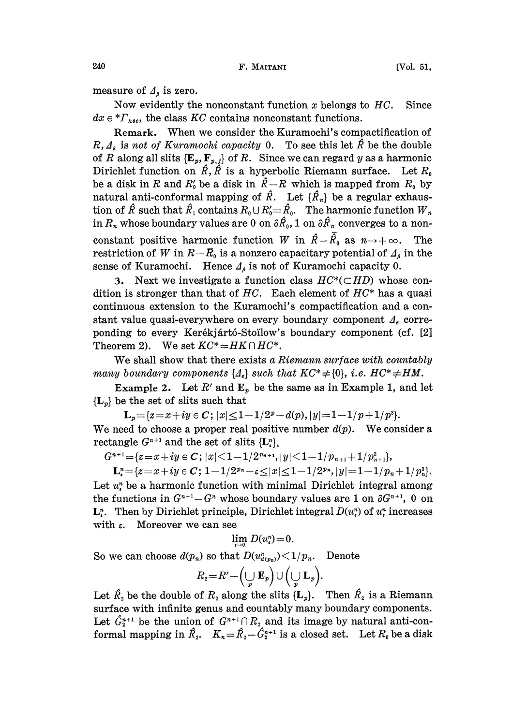measure of  $\Lambda$  is zero.

Now evidently the nonconstant function x belongs to  $HC$ . Since  $dx \in {^*}\Gamma_{hse}$ , the class KC contains nonconstant functions.

Remark. When we consider the Kuramochi's compactification of  $R, \Delta_{\beta}$  is not of Kuramochi capacity 0. To see this let  $\hat{R}$  be the double of R along all slits  $\{E_p, F_{p,j}\}$  of R. Since we can regard y as a harmonic Dirichlet function on  $\hat{R}$ ,  $\hat{R}$  is a hyperbolic Riemann surface. Let  $R_0$ be a disk in R and  $R'_0$  be a disk in  $\hat{R}-R$  which is mapped from  $R_0$  by natural anti-conformal mapping of  $\hat{R}$ . Let  $\{\hat{R}_n\}$  be a regular exhaustion of  $\hat{R}$  such that  $\hat{R}_1$  contains  $R_0 \cup R'_0 = \hat{R}_0$ . The harmonic function  $W_n$ in  $R_n$  whose boundary values are 0 on  $\partial \hat{R}_0$ , 1 on  $\partial \hat{R}_n$  converges to a nonconstant positive harmonic function W in  $\hat{R}-\overline{\hat{R}}_0$  as  $n \to +\infty$ . The restriction of W in  $R-\bar{R}_0$  is a nonzero capacitary potential of  $\Lambda_s$  in the sense of Kuramochi. Hence  $\Lambda_{\beta}$  is not of Kuramochi capacity 0.

3. Next we investigate a function class  $HC^*(\subset HD)$  whose condition is stronger than that of  $HC$ . Each element of  $HC^*$  has a quasi continuous extension to the Kuramochi's compactification and a constant value quasi-everywhere on every boundary component  $A_e$  correponding to every Kerékjártó-Stoïlow's boundary component (cf. [2] Theorem 2). We set  $KC^* = HK \cap HC^*$ .

We shall show that there exists a Riemann surface with countably many boundary components  $\{A_e\}$  such that  $KC^* \neq \{0\}$ , i.e.  $HC^* \neq HM$ .

Example 2. Let  $R'$  and  $\mathbf{E}_p$  be the same as in Example 1, and let  ${L<sub>p</sub>}$  be the set of slits such that

 $\mathbf{L}_p = \{z=x+iy \in \mathbb{C}; |x| \leq 1-1/2^p-d(p), |y|=1-1/p+1/p^3\}.$ We need to choose a proper real positive number  $d(p)$ . We consider a rectangle  $G^{n+1}$  and the set of slits  $\{L_i^n\}_n$ 

 $G^{n+1} = \{z=x+iy \in \mathbb{C}; |x|<1-1/2^{p_{n+1}}, |y|<1-1/p_{n+1}+1/p_{n+1}^3\},\$ 

 $\mathbf{L}_{\epsilon}^{n} = \{z = x + iy \in \mathbb{C}; \, 1 - 1/2^{p_{n}} - \epsilon \leq |x| \leq 1 - 1/2^{p_{n}}, |y| = 1 - 1/p_{n} + 1/p_{n}^{3}\}.$ Let  $u^n_k$  be a harmonic function with minimal Dirichlet integral among the functions in  $G^{n+1}-G^n$  whose boundary values are 1 on  $\partial G^{n+1}$ , 0 on  $\mathbf{L}_i^n$ . Then by Dirichlet principle, Dirichlet integral  $D(u_i^n)$  of  $u_i^n$  increases with  $\varepsilon$ . Moreover we can see

$$
\lim_{n} D(u^n)=0.
$$

So we can choose  $d(p_n)$  so that  $D(u_{d(p_n)}^n) < 1/p_n$ . Denote

$$
R_2\!=\!R'\!-\!\left(\bigcup_p\mathbf{E}_p\right)\cup\Big(\bigcup_p\mathbf{L}_p\Big).
$$

Let  $\hat{R}_2$  be the double of  $R_2$  along the slits  ${L_p}$ . Then  $\hat{R}_2$  is a Riemann surface with infinite genus and countably many boundary components. surface with infinite genus and countably many boundary components.<br>Let  $\hat{G}_2^{n+1}$  be the union of  $G^{n+1} \cap R_2$  and its image by natural anti-con-<br>formal manning in  $\hat{P} = K - \hat{P} - \hat{C}^{n+1}$  is a closed set. Let R he formal mapping in  $\hat{R}_2$ .  $K_n = \hat{R}_2 - \hat{G}_2^{n+1}$  is a closed set. Let  $R_0$  be a disk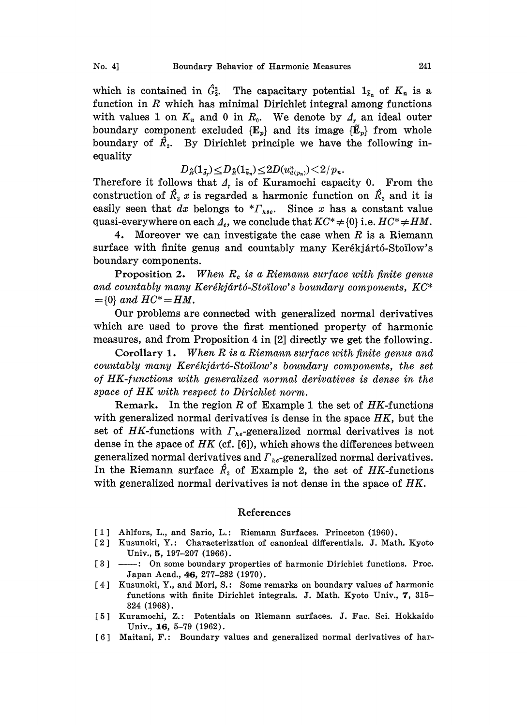which is contained in  $\hat{G}_2^2$ . The capacitary potential  $1_{\tilde{k}_n}$  of  $K_n$  is a function in  $R$  which has minimal Dirichlet integral among functions with values 1 on  $K_n$  and 0 in  $R_0$ . We denote by  $A_r$  an ideal outer boundary component excluded  ${E<sub>p</sub>}$  and its image  ${\{\widetilde{E}<sub>p</sub>\}}$  from whole boundary of  $\hat{R}_2$ . By Dirichlet principle we have the following inequality  $\leq D_{\hat{R}}(1_{\tilde{k}_n}) \leq 2D(u^n_{d(p_n)}) \leq 2/p_n.$ 

$$
D_{\hat{R}}(1_{\widetilde{A}_r}) \le D_{\hat{R}}(1_{\widetilde{k}_n}) \le 2D(u_{d(p_n)}^n) \le 2/p_n.
$$

Therefore it follows that  $\Delta_t$  is of Kuramochi capacity 0. From the construction of  $\hat{R}_2$  is regarded a harmonic function on  $\hat{R}_2$  and it is easily seen that dx belongs to  $*r_{hse}$ . Since x has a constant value quasi-everywhere on each  $\Lambda_e$ , we conclude that  $KC^* \neq \{0\}$  i.e.  $HC^* \neq HM$ .

4. Moreover we can investigate the case when  $R$  is a Riemann surface with finite genus and countably many Kerékjártó-Stoïlow's boundary components.

Proposition 2. When  $R_c$  is a Riemann surface with finite genus and countably many Kerékjártó-Stoïlow's boundary components,  $KC*$  $=$ {0} and  $HC^* = HM$ .

Our problems are connected with generalized normal derivatives which are used to prove the first mentioned property of harmonic measures, and from Proposition 4 in [2] directly we get the following.

Corollary 1. When R is <sup>a</sup> Riemann surface with finite genus and countably many Kerékjártó-Stoïlow's boundary components, the set of HK-functions with generalized normal derivatives is dense in the space of HK with respect to Dirichlet norm.

Remark. In the region  $R$  of Example 1 the set of  $HK$ -functions with generalized normal derivatives is dense in the space  $HK$ , but the set of HK-functions with  $\Gamma_{he}$ -generalized normal derivatives is not dense in the space of  $HK$  (cf. [6]), which shows the differences between generalized normal derivatives and  $\Gamma_{he}$ -generalized normal derivatives. In the Riemann surface  $\hat{R}_2$  of Example 2, the set of HK-functions with generalized normal derivatives is not dense in the space of  $HK$ .

## References

- [1] Ahlfors, L., and Sario, L.: Riemann Surfaces. Princeton (1960).
- [2] Kusunoki, Y.: Characterization of canonical differentials. J. Math. Kyoto [2] Kusunoki, Y.: Characterization of canonical differentials. J. Math. Kyoto<br>Univ., 5, 197–207 (1966).<br>[3] — : On some boundary properties of harmonic Dirichlet functions. Proc.<br>Japan Ased 66, 277, 282 (1970). Univ., 5, 197-207 (1966).
- Japan Acad., 46, 277-282 (1970).
- [4] Kusunoki, Y., and Mori, S.: Some remarks on boundary values of harmonic functions with finite Dirichlet integrals. J. Math. Kyoto Univ., 7, 315- 324 (1968).
- [5] Kuramochi, Z.: Potentials on Riemann surfaces. J. Fac. Sci. Hokkaido Univ., 16, 5-79 (1962).
- [6] Maitani, F.: Boundary values and generalized normal derivatives of har-